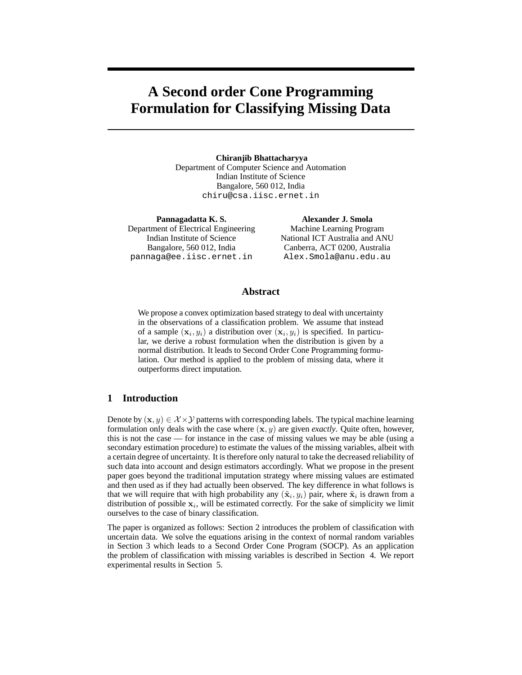# **A Second order Cone Programming Formulation for Classifying Missing Data**

**Chiranjib Bhattacharyya** Department of Computer Science and Automation Indian Institute of Science Bangalore, 560 012, India chiru@csa.iisc.ernet.in

**Pannagadatta K. S.** Department of Electrical Engineering Indian Institute of Science Bangalore, 560 012, India pannaga@ee.iisc.ernet.in

**Alexander J. Smola** Machine Learning Program National ICT Australia and ANU Canberra, ACT 0200, Australia Alex.Smola@anu.edu.au

# **Abstract**

We propose a convex optimization based strategy to deal with uncertainty in the observations of a classification problem. We assume that instead of a sample  $(\mathbf{x}_i, y_i)$  a distribution over  $(\mathbf{x}_i, y_i)$  is specified. In particular, we derive a robust formulation when the distribution is given by a normal distribution. It leads to Second Order Cone Programming formulation. Our method is applied to the problem of missing data, where it outperforms direct imputation.

# **1 Introduction**

Denote by  $(\mathbf{x}, y) \in \mathcal{X} \times \mathcal{Y}$  patterns with corresponding labels. The typical machine learning formulation only deals with the case where  $(x, y)$  are given *exactly*. Quite often, however, this is not the case — for instance in the case of missing values we may be able (using a secondary estimation procedure) to estimate the values of the missing variables, albeit with a certain degree of uncertainty. It is therefore only natural to take the decreased reliability of such data into account and design estimators accordingly. What we propose in the present paper goes beyond the traditional imputation strategy where missing values are estimated and then used as if they had actually been observed. The key difference in what follows is that we will require that with high probability any  $(\tilde{\mathbf{x}}_i, y_i)$  pair, where  $\tilde{\mathbf{x}}_i$  is drawn from a distribution of possible  $x_i$ , will be estimated correctly. For the sake of simplicity we limit ourselves to the case of binary classification.

The paper is organized as follows: Section 2 introduces the problem of classification with uncertain data. We solve the equations arising in the context of normal random variables in Section 3 which leads to a Second Order Cone Program (SOCP). As an application the problem of classification with missing variables is described in Section 4. We report experimental results in Section 5.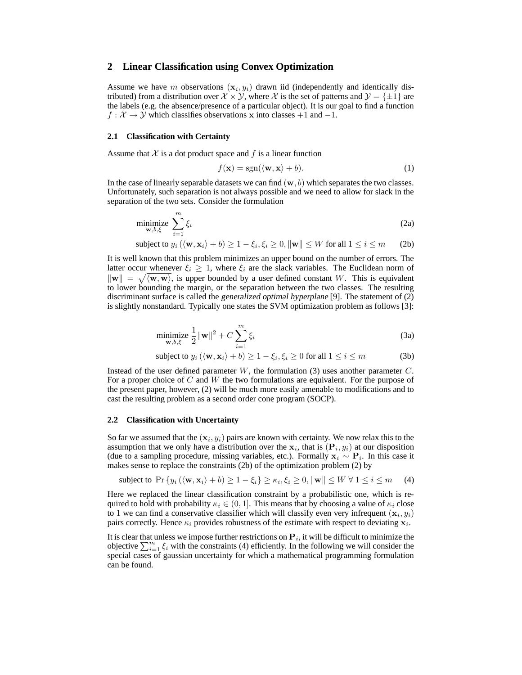## **2 Linear Classification using Convex Optimization**

Assume we have m observations  $(\mathbf{x}_i, y_i)$  drawn iid (independently and identically distributed) from a distribution over  $\mathcal{X} \times \mathcal{Y}$ , where  $\mathcal{X}$  is the set of patterns and  $\mathcal{Y} = \{\pm 1\}$  are the labels (e.g. the absence/presence of a particular object). It is our goal to find a function  $f: \mathcal{X} \to \mathcal{Y}$  which classifies observations x into classes +1 and -1.

#### **2.1 Classification with Certainty**

Assume that  $X$  is a dot product space and  $f$  is a linear function

$$
f(\mathbf{x}) = \text{sgn}(\langle \mathbf{w}, \mathbf{x} \rangle + b). \tag{1}
$$

In the case of linearly separable datasets we can find  $(w, b)$  which separates the two classes. Unfortunately, such separation is not always possible and we need to allow for slack in the separation of the two sets. Consider the formulation

$$
\underset{\mathbf{w},b,\xi}{\text{minimize}} \sum_{i=1}^{m} \xi_i
$$
 (2a)

subject to  $y_i(\langle \mathbf{w}, \mathbf{x}_i \rangle + b) \ge 1 - \xi_i, \xi_i \ge 0, ||\mathbf{w}|| \le W$  for all  $1 \le i \le m$  (2b)

It is well known that this problem minimizes an upper bound on the number of errors. The latter occur whenever  $\xi_i \geq 1$ , where  $\xi_i$  are the slack variables. The Euclidean norm of  $\|\mathbf{w}\| = \sqrt{\langle \mathbf{w}, \mathbf{w} \rangle}$ , is upper bounded by a user defined constant W. This is equivalent to lower bounding the margin, or the separation between the two classes. The resulting discriminant surface is called the generalized optimal hyperplane [9]. The statement of (2) is slightly nonstandard. Typically one states the SVM optimization problem as follows [3]:

$$
\underset{\mathbf{w},b,\xi}{\text{minimize}} \frac{1}{2} \|\mathbf{w}\|^2 + C \sum_{i=1}^{m} \xi_i
$$
 (3a)

subject to 
$$
y_i (\langle \mathbf{w}, \mathbf{x}_i \rangle + b) \ge 1 - \xi_i, \xi_i \ge 0
$$
 for all  $1 \le i \le m$  (3b)

Instead of the user defined parameter  $W$ , the formulation (3) uses another parameter  $C$ . For a proper choice of C and W the two formulations are equivalent. For the purpose of the present paper, however, (2) will be much more easily amenable to modifications and to cast the resulting problem as a second order cone program (SOCP).

#### **2.2 Classification with Uncertainty**

So far we assumed that the  $(x_i, y_i)$  pairs are known with certainty. We now relax this to the assumption that we only have a distribution over the  $x_i$ , that is  $(P_i, y_i)$  at our disposition (due to a sampling procedure, missing variables, etc.). Formally  $\mathbf{x}_i \sim \mathbf{P}_i$ . In this case it makes sense to replace the constraints (2b) of the optimization problem (2) by

subject to 
$$
\Pr\left\{y_i\left(\langle \mathbf{w}, \mathbf{x}_i \rangle + b\right) \ge 1 - \xi_i\right\} \ge \kappa_i, \xi_i \ge 0, \|\mathbf{w}\| \le W \ \forall \ 1 \le i \le m \tag{4}
$$

Here we replaced the linear classification constraint by a probabilistic one, which is required to hold with probability  $\kappa_i \in (0,1]$ . This means that by choosing a value of  $\kappa_i$  close to 1 we can find a conservative classifier which will classify even very infrequent  $(x_i, y_i)$ pairs correctly. Hence  $\kappa_i$  provides robustness of the estimate with respect to deviating  $\mathbf{x}_i$ .

It is clear that unless we impose further restrictions on  $P_i$ , it will be difficult to minimize the objective  $\sum_{i=1}^m \xi_i$  with the constraints (4) efficiently. In the following we will consider the special cases of gaussian uncertainty for which a mathematical programming formulation can be found.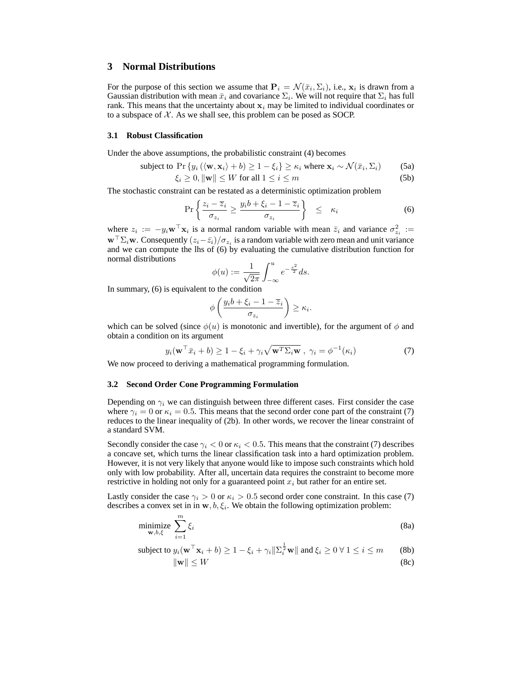# **3 Normal Distributions**

For the purpose of this section we assume that  $P_i = \mathcal{N}(\bar{x}_i, \Sigma_i)$ , i.e.,  $\mathbf{x}_i$  is drawn from a Gaussian distribution with mean  $\bar{x}_i$  and covariance  $\Sigma_i$ . We will not require that  $\Sigma_i$  has full rank. This means that the uncertainty about  $x_i$  may be limited to individual coordinates or to a subspace of  $X$ . As we shall see, this problem can be posed as SOCP.

## **3.1 Robust Classification**

Under the above assumptions, the probabilistic constraint (4) becomes

subject to 
$$
\Pr\{y_i (\langle \mathbf{w}, \mathbf{x}_i \rangle + b) \ge 1 - \xi_i\} \ge \kappa_i
$$
 where  $\mathbf{x}_i \sim \mathcal{N}(\bar{x}_i, \Sigma_i)$  (5a)  $\xi_i \ge 0, \|\mathbf{w}\| \le W$  for all  $1 \le i \le m$  (5b)

The stochastic constraint can be restated as a deterministic optimization problem

$$
\Pr\left\{\frac{z_i - \overline{z}_i}{\sigma_{z_i}} \ge \frac{y_i b + \xi_i - 1 - \overline{z}_i}{\sigma_{z_i}}\right\} \le \kappa_i \tag{6}
$$

where  $z_i := -y_i \mathbf{w}^\top \mathbf{x}_i$  is a normal random variable with mean  $\bar{z}_i$  and variance  $\sigma_{z_i}^2 :=$  $\mathbf{w}^\top \Sigma_i \mathbf{w}$ . Consequently  $(z_i - \bar{z}_i)/\sigma_{z_i}$  is a random variable with zero mean and unit variance and we can compute the lhs of (6) by evaluating the cumulative distribution function for normal distributions

$$
\phi(u) := \frac{1}{\sqrt{2\pi}} \int_{-\infty}^{u} e^{-\frac{s^2}{2}} ds.
$$

In summary, (6) is equivalent to the condition

$$
\phi\left(\frac{y_i b + \xi_i - 1 - \overline{z}_i}{\sigma_{z_i}}\right) \ge \kappa_i.
$$

which can be solved (since  $\phi(u)$  is monotonic and invertible), for the argument of  $\phi$  and obtain a condition on its argument

$$
y_i(\mathbf{w}^\top \bar{x}_i + b) \ge 1 - \xi_i + \gamma_i \sqrt{\mathbf{w}^\top \Sigma_i \mathbf{w}} , \ \gamma_i = \phi^{-1}(\kappa_i)
$$
 (7)

We now proceed to deriving a mathematical programming formulation.

## **3.2 Second Order Cone Programming Formulation**

Depending on  $\gamma_i$  we can distinguish between three different cases. First consider the case where  $\gamma_i = 0$  or  $\kappa_i = 0.5$ . This means that the second order cone part of the constraint (7) reduces to the linear inequality of (2b). In other words, we recover the linear constraint of a standard SVM.

Secondly consider the case  $\gamma_i < 0$  or  $\kappa_i < 0.5$ . This means that the constraint (7) describes a concave set, which turns the linear classification task into a hard optimization problem. However, it is not very likely that anyone would like to impose such constraints which hold only with low probability. After all, uncertain data requires the constraint to become more restrictive in holding not only for a guaranteed point  $x_i$  but rather for an entire set.

Lastly consider the case  $\gamma_i > 0$  or  $\kappa_i > 0.5$  second order cone constraint. In this case (7) describes a convex set in in  $w, b, \xi_i$ . We obtain the following optimization problem:

$$
\underset{\mathbf{w},b,\xi}{\text{minimize}} \sum_{i=1}^{m} \xi_i
$$
\n(8a)

subject to 
$$
y_i(\mathbf{w}^\top \mathbf{x}_i + b) \ge 1 - \xi_i + \gamma_i \|\Sigma_i^{\frac{1}{2}} \mathbf{w}\|
$$
 and  $\xi_i \ge 0 \ \forall \ 1 \le i \le m$  (8b)

$$
\|\mathbf{w}\| \le W \tag{8c}
$$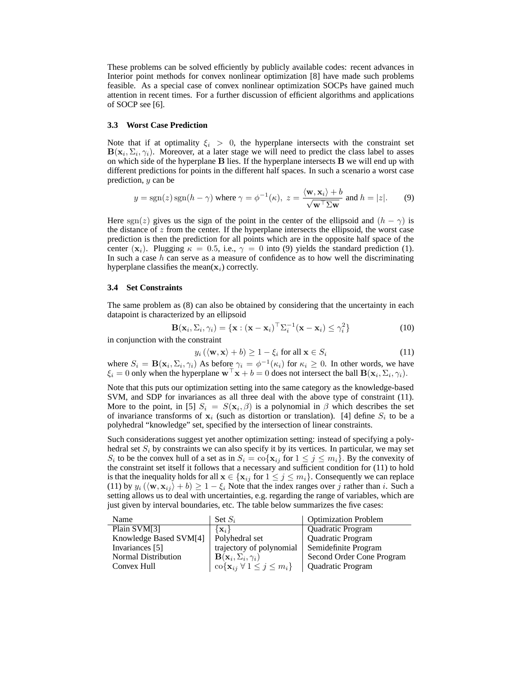These problems can be solved efficiently by publicly available codes: recent advances in Interior point methods for convex nonlinear optimization [8] have made such problems feasible. As a special case of convex nonlinear optimization SOCPs have gained much attention in recent times. For a further discussion of efficient algorithms and applications of SOCP see [6].

#### **3.3 Worst Case Prediction**

Note that if at optimality  $\xi_i > 0$ , the hyperplane intersects with the constraint set  $B(\mathbf{x}_i, \Sigma_i, \gamma_i)$ . Moreover, at a later stage we will need to predict the class label to asses on which side of the hyperplane  $B$  lies. If the hyperplane intersects  $B$  we will end up with different predictions for points in the different half spaces. In such a scenario a worst case prediction, y can be

$$
y = \text{sgn}(z)\,\text{sgn}(h-\gamma) \text{ where } \gamma = \phi^{-1}(\kappa), \ z = \frac{\langle \mathbf{w}, \mathbf{x}_i \rangle + b}{\sqrt{\mathbf{w}^\top \Sigma \mathbf{w}}} \text{ and } h = |z|.
$$
 (9)

Here sgn(z) gives us the sign of the point in the center of the ellipsoid and  $(h - \gamma)$  is the distance of  $z$  from the center. If the hyperplane intersects the ellipsoid, the worst case prediction is then the prediction for all points which are in the opposite half space of the center (x<sub>i</sub>). Plugging  $\kappa = 0.5$ , i.e.,  $\gamma = 0$  into (9) yields the standard prediction (1). In such a case  $h$  can serve as a measure of confidence as to how well the discriminating hyperplane classifies the mean $(x_i)$  correctly.

#### **3.4 Set Constraints**

The same problem as (8) can also be obtained by considering that the uncertainty in each datapoint is characterized by an ellipsoid

$$
\mathbf{B}(\mathbf{x}_i, \Sigma_i, \gamma_i) = {\mathbf{x} : (\mathbf{x} - \mathbf{x}_i)^\top \Sigma_i^{-1} (\mathbf{x} - \mathbf{x}_i) \leq \gamma_i^2}
$$
 (10)

in conjunction with the constraint

$$
y_i(\langle \mathbf{w}, \mathbf{x} \rangle + b) \ge 1 - \xi_i \text{ for all } \mathbf{x} \in S_i
$$
 (11)

where  $S_i = \mathbf{B}(\mathbf{x}_i, \Sigma_i, \gamma_i)$  As before  $\gamma_i = \phi^{-1}(\kappa_i)$  for  $\kappa_i \geq 0$ . In other words, we have  $\xi_i = 0$  only when the hyperplane  $\mathbf{w}^\top \mathbf{x} + b = 0$  does not intersect the ball  $\mathbf{B}(\mathbf{x}_i, \Sigma_i, \gamma_i)$ .

Note that this puts our optimization setting into the same category as the knowledge-based SVM, and SDP for invariances as all three deal with the above type of constraint (11). More to the point, in [5]  $S_i = S(\mathbf{x}_i, \beta)$  is a polynomial in  $\beta$  which describes the set of invariance transforms of  $x_i$  (such as distortion or translation). [4] define  $S_i$  to be a polyhedral "knowledge" set, specified by the intersection of linear constraints.

Such considerations suggest yet another optimization setting: instead of specifying a polyhedral set  $S_i$  by constraints we can also specify it by its vertices. In particular, we may set  $S_i$  to be the convex hull of a set as in  $S_i = \text{co}\{\mathbf{x}_{ij} \text{ for } 1 \leq j \leq m_i\}$ . By the convexity of the constraint set itself it follows that a necessary and sufficient condition for (11) to hold is that the inequality holds for all  $\mathbf{x} \in \{x_{ij} \text{ for } 1 \leq j \leq m_i\}$ . Consequently we can replace (11) by  $y_i (\langle \mathbf{w}, \mathbf{x}_{ij} \rangle + b) \ge 1 - \xi_i$  Note that the index ranges over j rather than i. Such a setting allows us to deal with uncertainties, e.g. regarding the range of variables, which are just given by interval boundaries, etc. The table below summarizes the five cases:

| Name                                    | Set $S_i$                                                 | <b>Optimization Problem</b> |
|-----------------------------------------|-----------------------------------------------------------|-----------------------------|
| Plain SVM[3]                            | $\{x_i\}$                                                 | Quadratic Program           |
| Knowledge Based SVM[4]   Polyhedral set |                                                           | <b>Quadratic Program</b>    |
| Invariances [5]                         | trajectory of polynomial                                  | Semidefinite Program        |
| <b>Normal Distribution</b>              | $\mathbf{B}(\mathbf{x}_i, \Sigma_i, \gamma_i)$            | Second Order Cone Program   |
| Convex Hull                             | $\cos\{\mathbf{x}_{ij} \; \forall \; 1 \leq j \leq m_i\}$ | Quadratic Program           |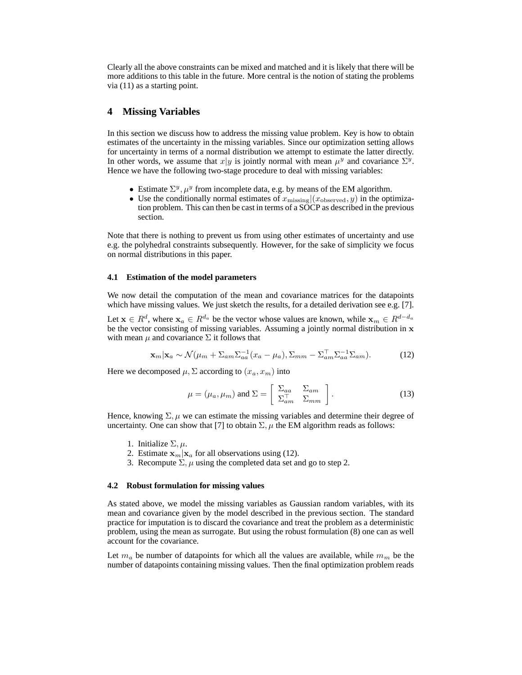Clearly all the above constraints can be mixed and matched and it is likely that there will be more additions to this table in the future. More central is the notion of stating the problems via (11) as a starting point.

# **4 Missing Variables**

In this section we discuss how to address the missing value problem. Key is how to obtain estimates of the uncertainty in the missing variables. Since our optimization setting allows for uncertainty in terms of a normal distribution we attempt to estimate the latter directly. In other words, we assume that  $x|y$  is jointly normal with mean  $\mu^y$  and covariance  $\Sigma^y$ . Hence we have the following two-stage procedure to deal with missing variables:

- Estimate  $\Sigma^y$ ,  $\mu^y$  from incomplete data, e.g. by means of the EM algorithm.
- Use the conditionally normal estimates of  $x_{\text{missing}}|(x_{\text{observed}}, y)$  in the optimization problem. This can then be cast in terms of a SOCP as described in the previous section.

Note that there is nothing to prevent us from using other estimates of uncertainty and use e.g. the polyhedral constraints subsequently. However, for the sake of simplicity we focus on normal distributions in this paper.

#### **4.1 Estimation of the model parameters**

We now detail the computation of the mean and covariance matrices for the datapoints which have missing values. We just sketch the results, for a detailed derivation see e.g. [7].

Let  $x \in R^d$ , where  $x_a \in R^{d_a}$  be the vector whose values are known, while  $x_m \in R^{d-d_a}$ be the vector consisting of missing variables. Assuming a jointly normal distribution in x with mean  $\mu$  and covariance  $\Sigma$  it follows that

$$
\mathbf{x}_{m}|\mathbf{x}_{a} \sim \mathcal{N}(\mu_{m} + \Sigma_{am}\Sigma_{aa}^{-1}(x_{a} - \mu_{a}), \Sigma_{mm} - \Sigma_{am}^{\top}\Sigma_{aa}^{-1}\Sigma_{am}).
$$
 (12)

Here we decomposed  $\mu$ ,  $\Sigma$  according to  $(x_a, x_m)$  into

$$
\mu = (\mu_a, \mu_m) \text{ and } \Sigma = \left[ \begin{array}{cc} \Sigma_{aa} & \Sigma_{am} \\ \Sigma_{am}^{\top} & \Sigma_{mm} \end{array} \right]. \tag{13}
$$

Hence, knowing  $\Sigma$ ,  $\mu$  we can estimate the missing variables and determine their degree of uncertainty. One can show that [7] to obtain  $\Sigma$ ,  $\mu$  the EM algorithm reads as follows:

- 1. Initialize  $\Sigma, \mu$ .
- 2. Estimate  $\mathbf{x}_m|\mathbf{x}_a$  for all observations using (12).
- 3. Recompute  $\Sigma$ ,  $\mu$  using the completed data set and go to step 2.

#### **4.2 Robust formulation for missing values**

As stated above, we model the missing variables as Gaussian random variables, with its mean and covariance given by the model described in the previous section. The standard practice for imputation is to discard the covariance and treat the problem as a deterministic problem, using the mean as surrogate. But using the robust formulation (8) one can as well account for the covariance.

Let  $m_a$  be number of datapoints for which all the values are available, while  $m_m$  be the number of datapoints containing missing values. Then the final optimization problem reads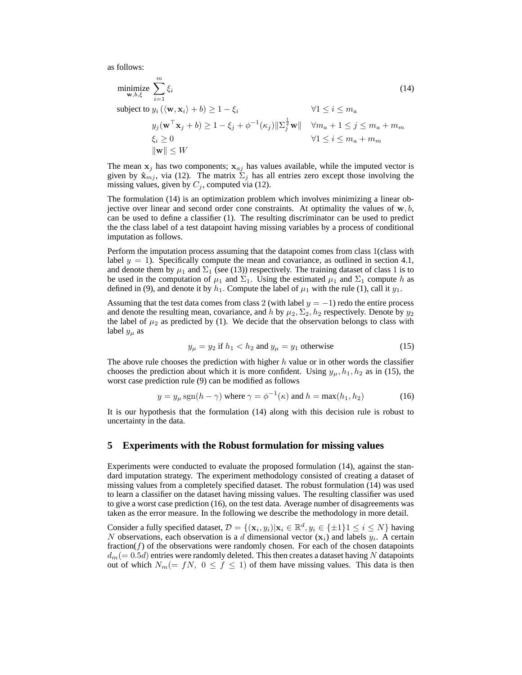as follows:

minimize 
$$
\sum_{\mathbf{w},b,\xi}^{m} \xi_{i}
$$
 (14)  
\nsubject to  $y_{i} (\langle \mathbf{w}, \mathbf{x}_{i} \rangle + b) \ge 1 - \xi_{i}$   $\forall 1 \le i \le m_{a}$   
\n $y_{j} (\mathbf{w}^{\top} \mathbf{x}_{j} + b) \ge 1 - \xi_{j} + \phi^{-1}(\kappa_{j}) \|\Sigma_{j}^{\frac{1}{2}} \mathbf{w}\| \quad \forall m_{a} + 1 \le j \le m_{a} + m_{m}$   
\n $\xi_{i} \ge 0$   $\|\mathbf{w}\| \le W$ 

The mean  $x_j$  has two components;  $x_{aj}$  has values available, while the imputed vector is given by  $\hat{\mathbf{x}}_{mj}$ , via (12). The matrix  $\sum_j$  has all entries zero except those involving the missing values, given by  $C_j$ , computed via (12).

The formulation (14) is an optimization problem which involves minimizing a linear objective over linear and second order cone constraints. At optimality the values of  $w, b$ , can be used to define a classifier (1). The resulting discriminator can be used to predict the the class label of a test datapoint having missing variables by a process of conditional imputation as follows.

Perform the imputation process assuming that the datapoint comes from class 1(class with label  $y = 1$ ). Specifically compute the mean and covariance, as outlined in section 4.1, and denote them by  $\mu_1$  and  $\Sigma_1$  (see (13)) respectively. The training dataset of class 1 is to be used in the computation of  $\mu_1$  and  $\Sigma_1$ . Using the estimated  $\mu_1$  and  $\Sigma_1$  compute h as defined in (9), and denote it by  $h_1$ . Compute the label of  $\mu_1$  with the rule (1), call it  $y_1$ .

Assuming that the test data comes from class 2 (with label  $y = -1$ ) redo the entire process and denote the resulting mean, covariance, and h by  $\mu_2$ ,  $\Sigma_2$ ,  $h_2$  respectively. Denote by  $y_2$ the label of  $\mu_2$  as predicted by (1). We decide that the observation belongs to class with label  $y_\mu$  as

$$
y_{\mu} = y_2 \text{ if } h_1 < h_2 \text{ and } y_{\mu} = y_1 \text{ otherwise} \tag{15}
$$

The above rule chooses the prediction with higher  $h$  value or in other words the classifier chooses the prediction about which it is more confident. Using  $y_{\mu}$ ,  $h_1$ ,  $h_2$  as in (15), the worst case prediction rule (9) can be modified as follows

$$
y = y_{\mu} \operatorname{sgn}(h - \gamma) \text{ where } \gamma = \phi^{-1}(\kappa) \text{ and } h = \max(h_1, h_2) \tag{16}
$$

It is our hypothesis that the formulation (14) along with this decision rule is robust to uncertainty in the data.

# **5 Experiments with the Robust formulation for missing values**

Experiments were conducted to evaluate the proposed formulation (14), against the standard imputation strategy. The experiment methodology consisted of creating a dataset of missing values from a completely specified dataset. The robust formulation (14) was used to learn a classifier on the dataset having missing values. The resulting classifier was used to give a worst case prediction (16), on the test data. Average number of disagreements was taken as the error measure. In the following we describe the methodology in more detail.

Consider a fully specified dataset,  $\mathcal{D} = \{(\mathbf{x}_i, y_i) | \mathbf{x}_i \in \mathbb{R}^d, y_i \in \{\pm 1\} \mid 1 \leq i \leq N\}$  having N observations, each observation is a d dimensional vector  $(\mathbf{x}_i)$  and labels  $y_i$ . A certain fraction( $f$ ) of the observations were randomly chosen. For each of the chosen datapoints  $d_m (= 0.5d)$  entries were randomly deleted. This then creates a dataset having N datapoints out of which  $N_m(= fN, 0 \le f \le 1)$  of them have missing values. This data is then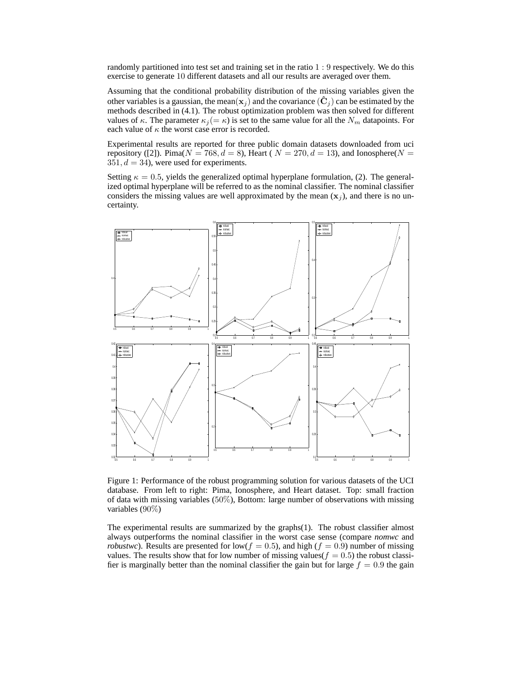randomly partitioned into test set and training set in the ratio 1 : 9 respectively. We do this exercise to generate 10 different datasets and all our results are averaged over them.

Assuming that the conditional probability distribution of the missing variables given the other variables is a gaussian, the mean( $\mathbf{x}_j$ ) and the covariance ( $\hat{\mathbf{C}}_j$ ) can be estimated by the methods described in (4.1). The robust optimization problem was then solved for different values of κ. The parameter  $\kappa_j (= \kappa)$  is set to the same value for all the  $N_m$  datapoints. For each value of  $\kappa$  the worst case error is recorded.

Experimental results are reported for three public domain datasets downloaded from uci repository ([2]). Pima( $N = 768$ ,  $d = 8$ ), Heart ( $N = 270$ ,  $d = 13$ ), and Ionosphere( $N =$  $351, d = 34$ ), were used for experiments.

Setting  $\kappa = 0.5$ , yields the generalized optimal hyperplane formulation, (2). The generalized optimal hyperplane will be referred to as the nominal classifier. The nominal classifier considers the missing values are well approximated by the mean  $(x_i)$ , and there is no uncertainty.



Figure 1: Performance of the robust programming solution for various datasets of the UCI database. From left to right: Pima, Ionosphere, and Heart dataset. Top: small fraction of data with missing variables (50%), Bottom: large number of observations with missing variables (90%)

The experimental results are summarized by the graphs(1). The robust classifier almost always outperforms the nominal classifier in the worst case sense (compare *nomwc* and *robustwc*). Results are presented for low( $f = 0.5$ ), and high ( $f = 0.9$ ) number of missing values. The results show that for low number of missing values( $f = 0.5$ ) the robust classifier is marginally better than the nominal classifier the gain but for large  $f = 0.9$  the gain